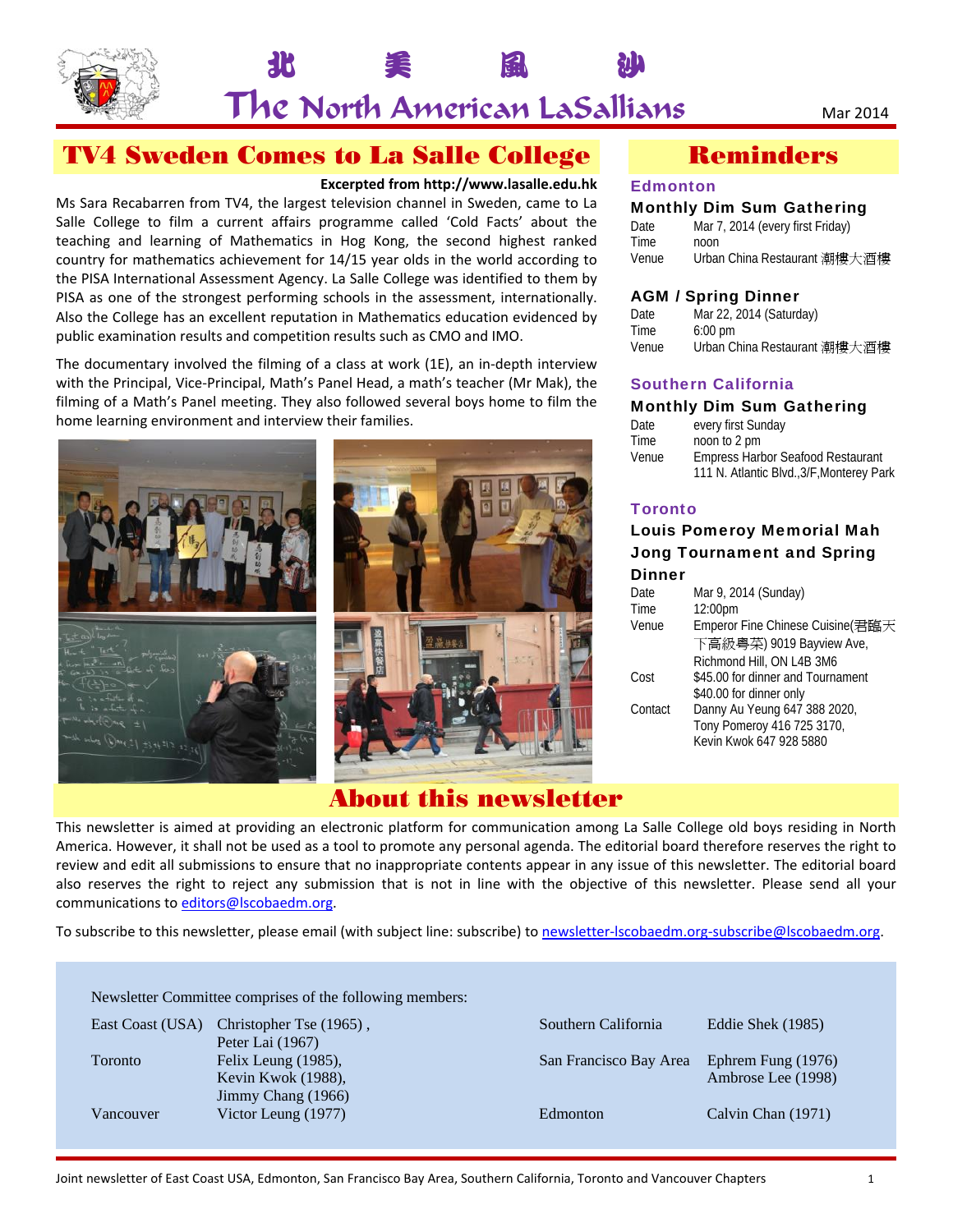

# 北 美 風 沙 The North American LaSallians Mar 2014

## TV4 Sweden Comes to La Salle College

#### **Excerpted from http://www.lasalle.edu.hk**

Ms Sara Recabarren from TV4, the largest television channel in Sweden, came to La Salle College to film a current affairs programme called 'Cold Facts' about the teaching and learning of Mathematics in Hog Kong, the second highest ranked country for mathematics achievement for 14/15 year olds in the world according to the PISA International Assessment Agency. La Salle College was identified to them by PISA as one of the strongest performing schools in the assessment, internationally. Also the College has an excellent reputation in Mathematics education evidenced by public examination results and competition results such as CMO and IMO.

The documentary involved the filming of a class at work (1E), an in‐depth interview with the Principal, Vice‐Principal, Math's Panel Head, a math's teacher (Mr Mak), the filming of a Math's Panel meeting. They also followed several boys home to film the home learning environment and interview their families.



## About this newsletter

## Reminders

#### **Edmonton**

#### Monthly Dim Sum Gathering

| Date  | Mar 7, 2014 (every first Friday) |
|-------|----------------------------------|
| Time  | noon                             |
| Venue | Urban China Restaurant 潮樓大酒樓     |

### AGM / Spring Dinner

| Date  | Mar 22, 2014 (Saturday)      |
|-------|------------------------------|
| Time  | $6:00 \text{ pm}$            |
| Venue | Urban China Restaurant 潮樓大酒樓 |

### Southern California

#### Monthly Dim Sum Gathering

| Date  | every first Sunday                                                                    |
|-------|---------------------------------------------------------------------------------------|
| Time  | noon to 2 pm                                                                          |
| Venue | <b>Empress Harbor Seafood Restaurant</b><br>111 N. Atlantic Blvd., 3/F, Monterey Park |

### **Toronto**

#### Louis Pomeroy Memorial Mah Jong Tournament and Spring Dinner

| Date    | Mar 9, 2014 (Sunday)              |
|---------|-----------------------------------|
| Time    | 12:00pm                           |
| Venue   | Emperor Fine Chinese Cuisine(君臨天  |
|         | 下高級粵菜) 9019 Bayview Ave,          |
|         | Richmond Hill, ON L4B 3M6         |
| Cost    | \$45.00 for dinner and Tournament |
|         | \$40.00 for dinner only           |
| Contact | Danny Au Yeung 647 388 2020,      |
|         | Tony Pomeroy 416 725 3170,        |
|         | Kevin Kwok 647 928 5880           |
|         |                                   |

This newsletter is aimed at providing an electronic platform for communication among La Salle College old boys residing in North America. However, it shall not be used as a tool to promote any personal agenda. The editorial board therefore reserves the right to review and edit all submissions to ensure that no inappropriate contents appear in any issue of this newsletter. The editorial board also reserves the right to reject any submission that is not in line with the objective of this newsletter. Please send all your communications to editors@lscobaedm.org.

To subscribe to this newsletter, please email (with subject line: subscribe) to newsletter-lscobaedm.org-subscribe@lscobaedm.org.

|                | East Coast (USA) Christopher Tse (1965), | Southern California    | Eddie Shek (1985)  |
|----------------|------------------------------------------|------------------------|--------------------|
|                | Peter Lai (1967)                         |                        |                    |
| <b>Toronto</b> | Felix Leung (1985),                      | San Francisco Bay Area | Ephrem Fung (1976) |
|                | Kevin Kwok (1988),                       |                        | Ambrose Lee (1998) |
|                | Jimmy Chang (1966)                       |                        |                    |
| Vancouver      | Victor Leung (1977)                      | Edmonton               | Calvin Chan (1971) |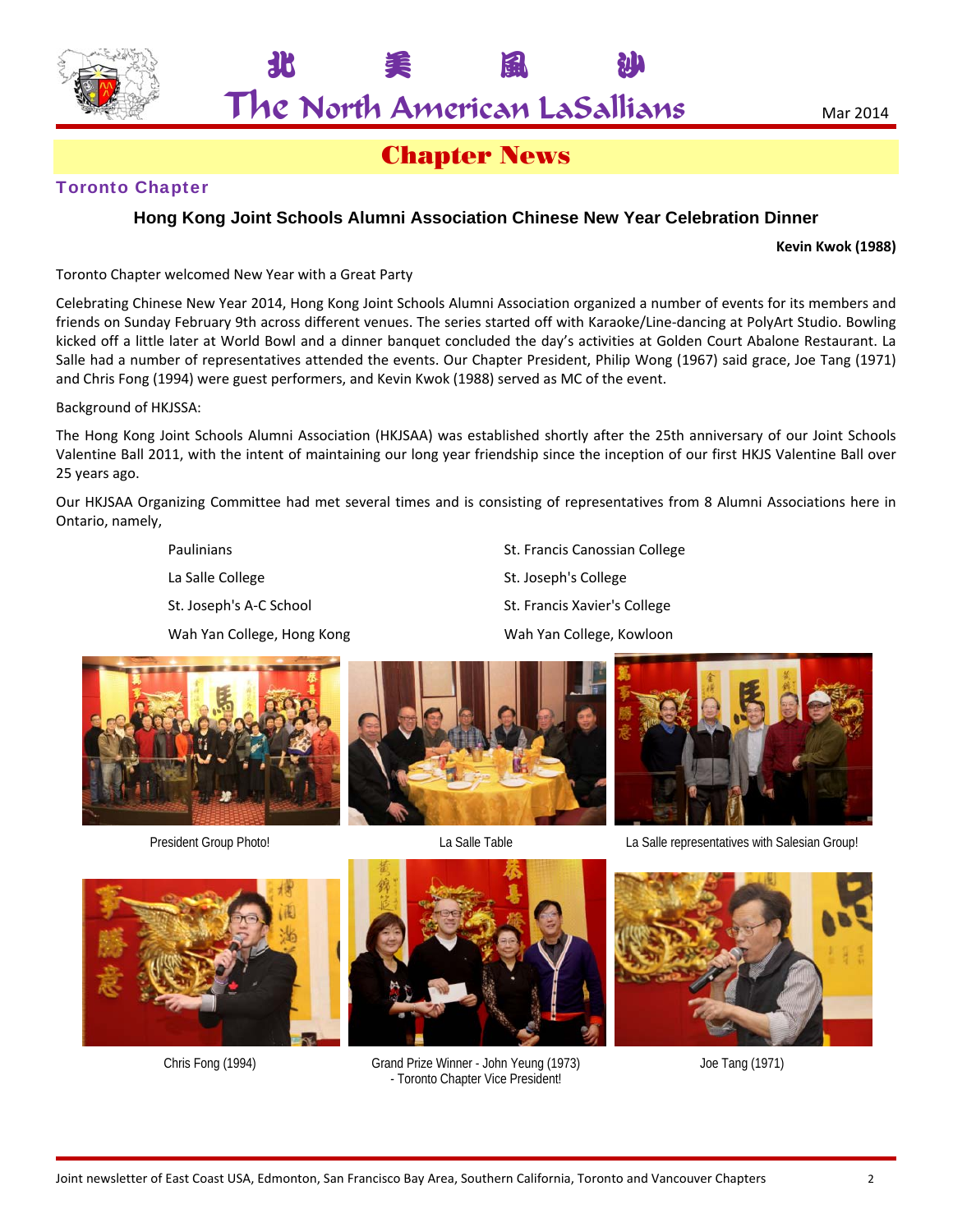$\mathsf{The}$  North American LaSallians  $_{\mathtt{Mar~2014}}$ 

北 美 風 沙

## Chapter News

## Toronto Chapter

## **Hong Kong Joint Schools Alumni Association Chinese New Year Celebration Dinner**

**Kevin Kwok (1988)**

Toronto Chapter welcomed New Year with a Great Party

Celebrating Chinese New Year 2014, Hong Kong Joint Schools Alumni Association organized a number of events for its members and friends on Sunday February 9th across different venues. The series started off with Karaoke/Line-dancing at PolyArt Studio. Bowling kicked off a little later at World Bowl and a dinner banquet concluded the day's activities at Golden Court Abalone Restaurant. La Salle had a number of representatives attended the events. Our Chapter President, Philip Wong (1967) said grace, Joe Tang (1971) and Chris Fong (1994) were guest performers, and Kevin Kwok (1988) served as MC of the event.

Background of HKJSSA:

The Hong Kong Joint Schools Alumni Association (HKJSAA) was established shortly after the 25th anniversary of our Joint Schools Valentine Ball 2011, with the intent of maintaining our long year friendship since the inception of our first HKJS Valentine Ball over 25 years ago.

Our HKJSAA Organizing Committee had met several times and is consisting of representatives from 8 Alumni Associations here in Ontario, namely,

Wah Yan College, Hong Kong Wah Yan College, Kowloon

Paulinians **St. Francis Canossian College** La Salle College **St. Joseph's College** St. Joseph's A-C School St. Francis Xavier's College











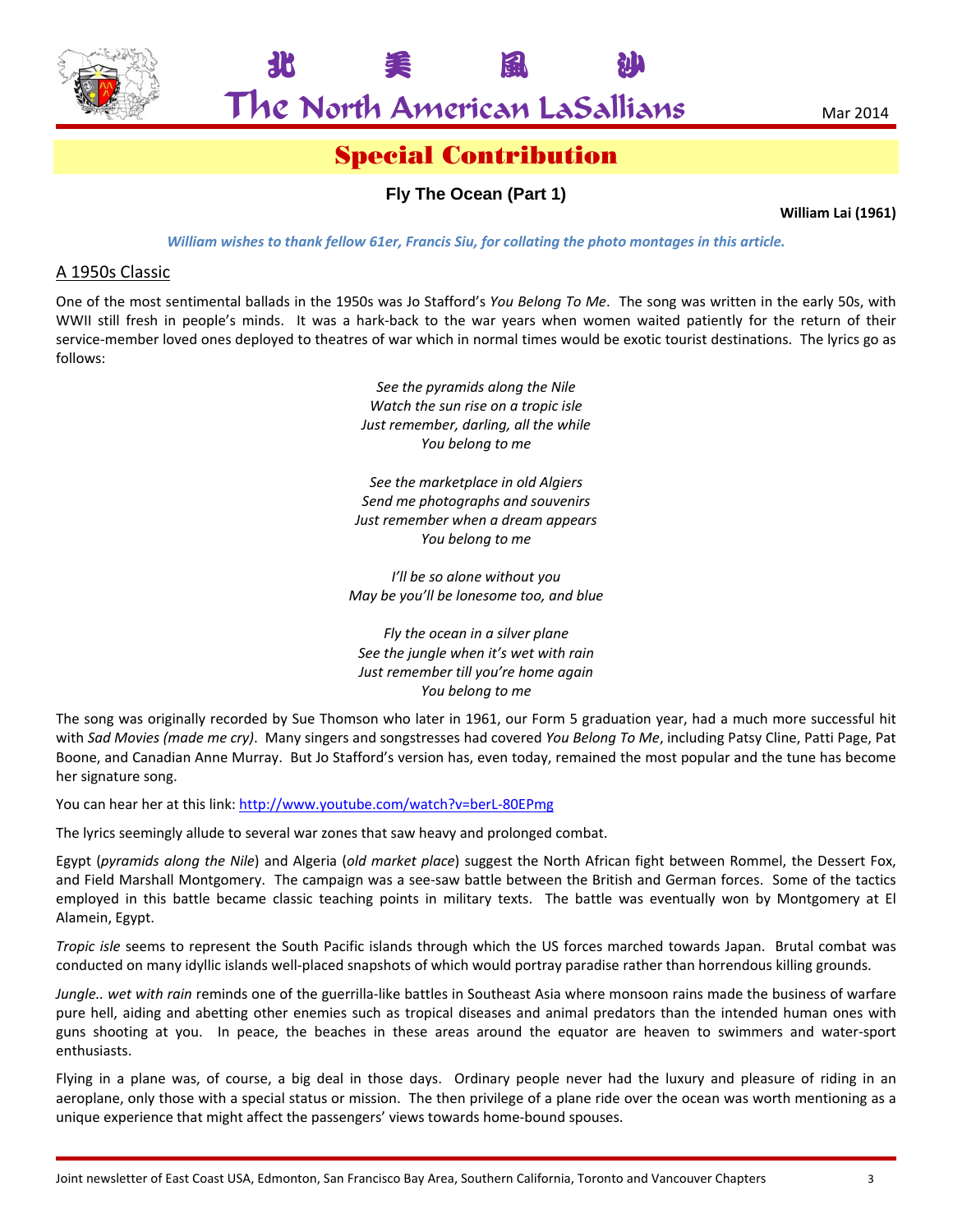

The North American LaSallians Mar 2014

北 美 風 沙

## Special Contribution

## **Fly The Ocean (Part 1)**

**William Lai (1961)**

*William wishes to thank fellow 61er, Francis Siu, for collating the photo montages in this article.*

#### A 1950s Classic

One of the most sentimental ballads in the 1950s was Jo Stafford's *You Belong To Me*. The song was written in the early 50s, with WWII still fresh in people's minds. It was a hark-back to the war years when women waited patiently for the return of their service-member loved ones deployed to theatres of war which in normal times would be exotic tourist destinations. The lyrics go as follows:

> *See the pyramids along the Nile Watch the sun rise on a tropic isle Just remember, darling, all the while You belong to me*

*See the marketplace in old Algiers Send me photographs and souvenirs Just remember when a dream appears You belong to me*

*I'll be so alone without you May be you'll be lonesome too, and blue*

*Fly the ocean in a silver plane See the jungle when it's wet with rain Just remember till you're home again You belong to me*

The song was originally recorded by Sue Thomson who later in 1961, our Form 5 graduation year, had a much more successful hit with *Sad Movies (made me cry)*. Many singers and songstresses had covered *You Belong To Me*, including Patsy Cline, Patti Page, Pat Boone, and Canadian Anne Murray. But Jo Stafford's version has, even today, remained the most popular and the tune has become her signature song.

You can hear her at this link: http://www.youtube.com/watch?v=berL-80EPmg

The lyrics seemingly allude to several war zones that saw heavy and prolonged combat.

Egypt (*pyramids along the Nile*) and Algeria (*old market place*) suggest the North African fight between Rommel, the Dessert Fox, and Field Marshall Montgomery. The campaign was a see-saw battle between the British and German forces. Some of the tactics employed in this battle became classic teaching points in military texts. The battle was eventually won by Montgomery at El Alamein, Egypt.

*Tropic isle* seems to represent the South Pacific islands through which the US forces marched towards Japan. Brutal combat was conducted on many idyllic islands well‐placed snapshots of which would portray paradise rather than horrendous killing grounds.

*Jungle.. wet with rain* reminds one of the guerrilla‐like battles in Southeast Asia where monsoon rains made the business of warfare pure hell, aiding and abetting other enemies such as tropical diseases and animal predators than the intended human ones with guns shooting at you. In peace, the beaches in these areas around the equator are heaven to swimmers and water‐sport enthusiasts.

Flying in a plane was, of course, a big deal in those days. Ordinary people never had the luxury and pleasure of riding in an aeroplane, only those with a special status or mission. The then privilege of a plane ride over the ocean was worth mentioning as a unique experience that might affect the passengers' views towards home‐bound spouses.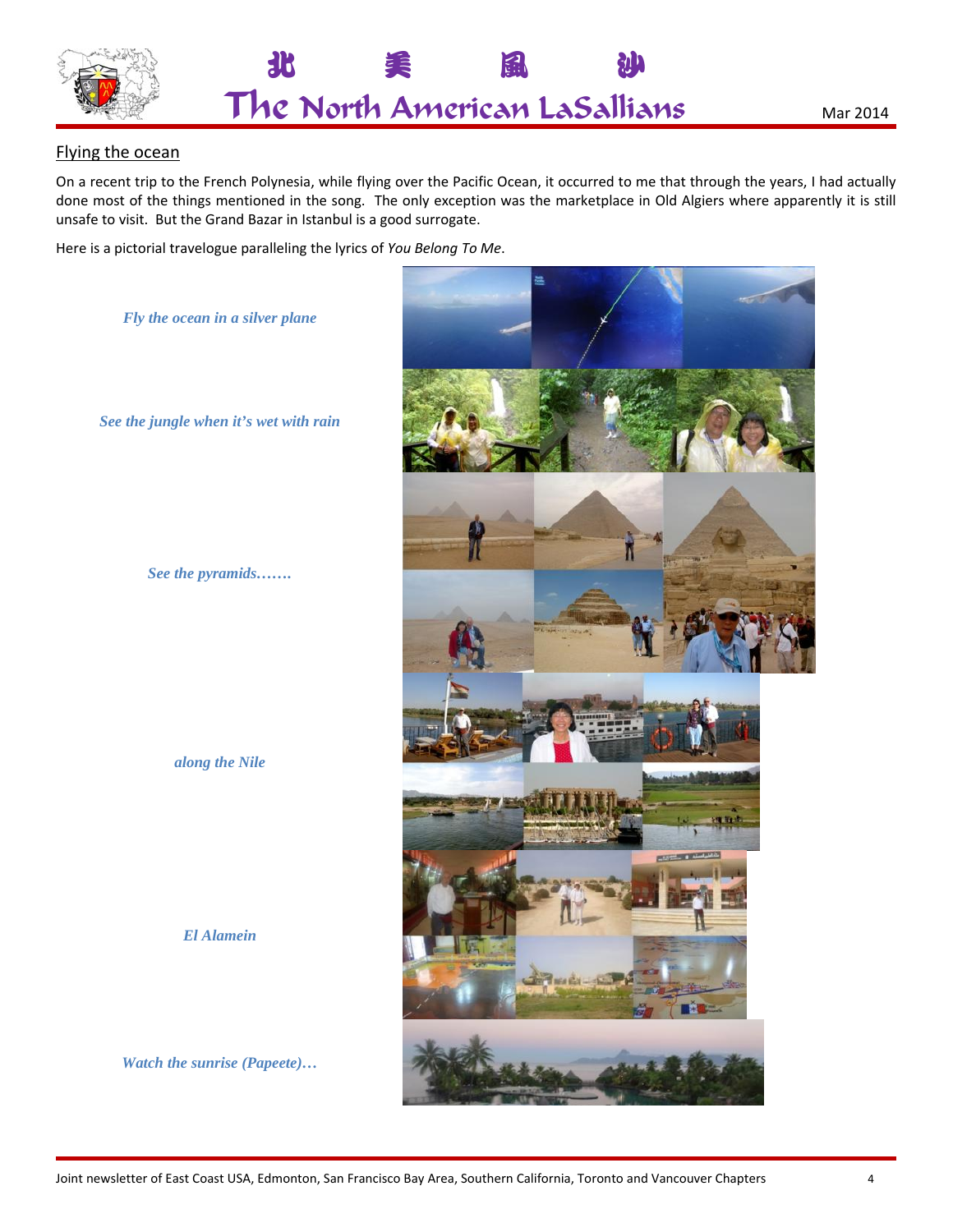



### Flying the ocean

On a recent trip to the French Polynesia, while flying over the Pacific Ocean, it occurred to me that through the years, I had actually done most of the things mentioned in the song. The only exception was the marketplace in Old Algiers where apparently it is still unsafe to visit. But the Grand Bazar in Istanbul is a good surrogate.

Here is a pictorial travelogue paralleling the lyrics of You Belong To Me.

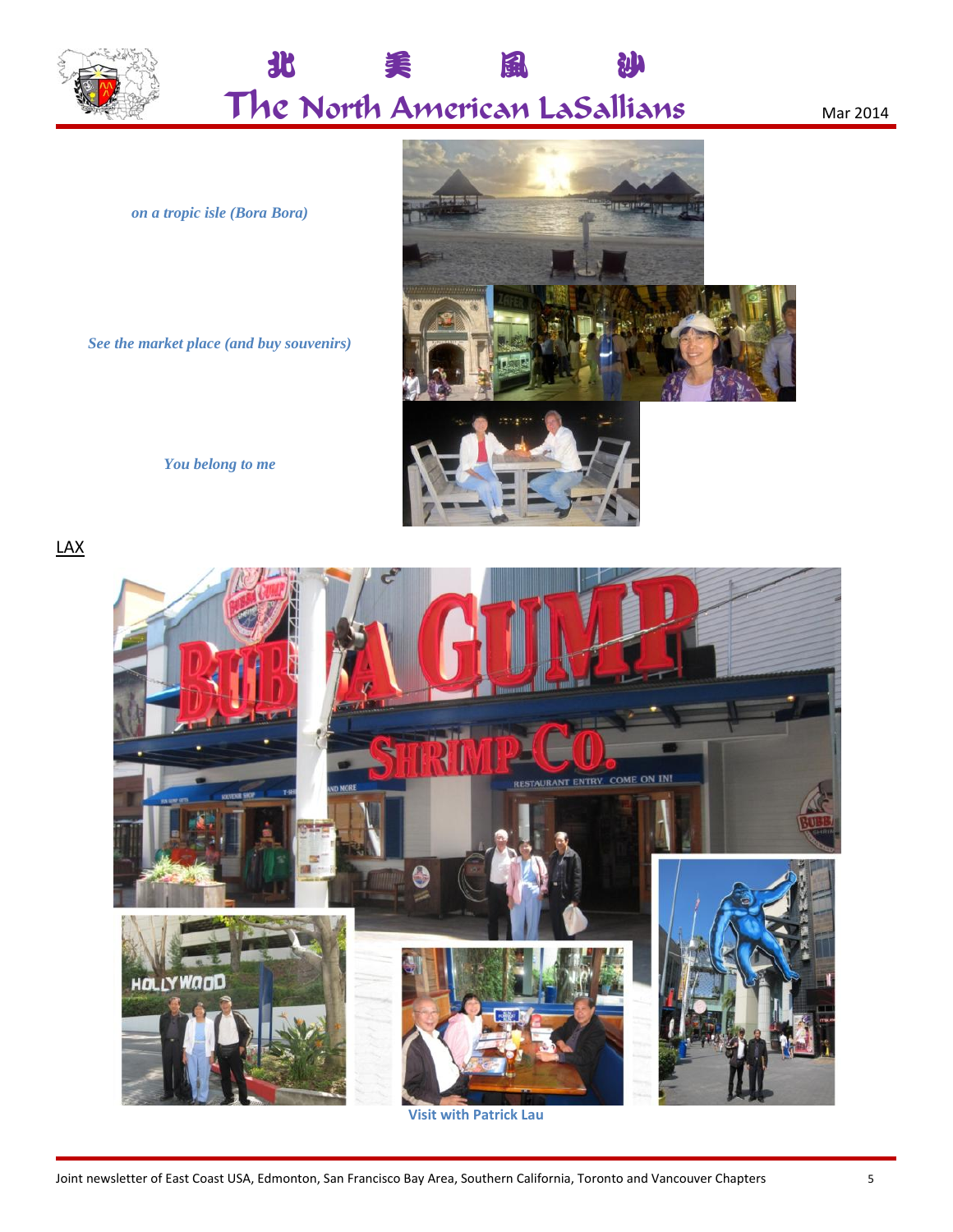

北 風 沙 ĒБ The North American LaSallians

Mar 2014

on a tropic isle (Bora Bora)

See the market place (and buy souvenirs)





You belong to me

 $\frac{\mathsf{LAX}}{}$ 



**Visit with Patrick Lau**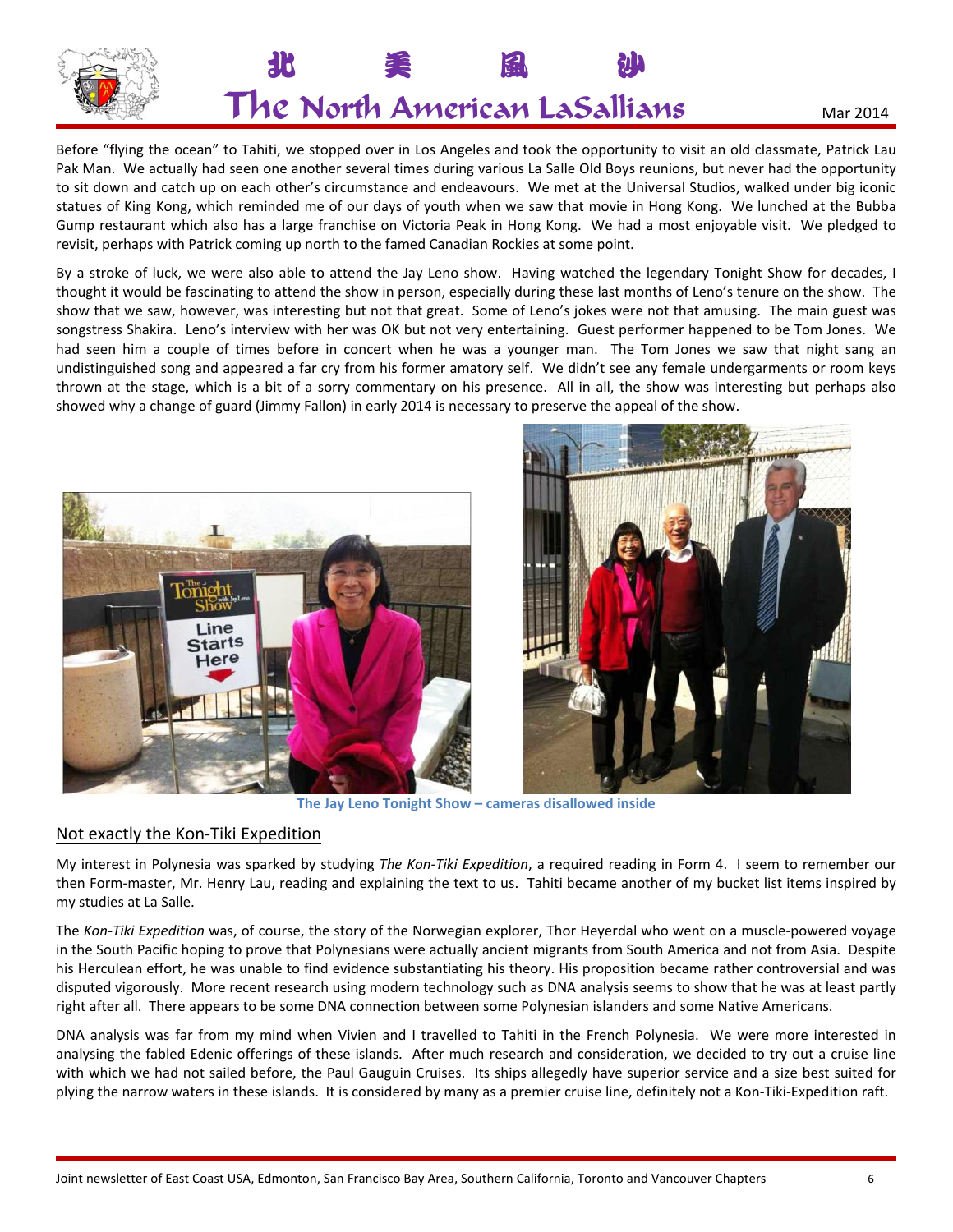

Before "flying the ocean" to Tahiti, we stopped over in Los Angeles and took the opportunity to visit an old classmate, Patrick Lau Pak Man. We actually had seen one another several times during various La Salle Old Boys reunions, but never had the opportunity to sit down and catch up on each other's circumstance and endeavours. We met at the Universal Studios, walked under big iconic statues of King Kong, which reminded me of our days of youth when we saw that movie in Hong Kong. We lunched at the Bubba Gump restaurant which also has a large franchise on Victoria Peak in Hong Kong. We had a most enjoyable visit. We pledged to revisit, perhaps with Patrick coming up north to the famed Canadian Rockies at some point.

By a stroke of luck, we were also able to attend the Jay Leno show. Having watched the legendary Tonight Show for decades, I thought it would be fascinating to attend the show in person, especially during these last months of Leno's tenure on the show. The show that we saw, however, was interesting but not that great. Some of Leno's jokes were not that amusing. The main guest was songstress Shakira. Leno's interview with her was OK but not very entertaining. Guest performer happened to be Tom Jones. We had seen him a couple of times before in concert when he was a younger man. The Tom Jones we saw that night sang an undistinguished song and appeared a far cry from his former amatory self. We didn't see any female undergarments or room keys thrown at the stage, which is a bit of a sorry commentary on his presence. All in all, the show was interesting but perhaps also showed why a change of guard (Jimmy Fallon) in early 2014 is necessary to preserve the appeal of the show.





**The Jay Leno Tonight Show – cameras disallowed inside**

### Not exactly the Kon‐Tiki Expedition

My interest in Polynesia was sparked by studying *The Kon‐Tiki Expedition*, a required reading in Form 4. I seem to remember our then Form‐master, Mr. Henry Lau, reading and explaining the text to us. Tahiti became another of my bucket list items inspired by my studies at La Salle.

The *Kon‐Tiki Expedition* was, of course, the story of the Norwegian explorer, Thor Heyerdal who went on a muscle‐powered voyage in the South Pacific hoping to prove that Polynesians were actually ancient migrants from South America and not from Asia. Despite his Herculean effort, he was unable to find evidence substantiating his theory. His proposition became rather controversial and was disputed vigorously. More recent research using modern technology such as DNA analysis seems to show that he was at least partly right after all. There appears to be some DNA connection between some Polynesian islanders and some Native Americans.

DNA analysis was far from my mind when Vivien and I travelled to Tahiti in the French Polynesia. We were more interested in analysing the fabled Edenic offerings of these islands. After much research and consideration, we decided to try out a cruise line with which we had not sailed before, the Paul Gauguin Cruises. Its ships allegedly have superior service and a size best suited for plying the narrow waters in these islands. It is considered by many as a premier cruise line, definitely not a Kon‐Tiki‐Expedition raft.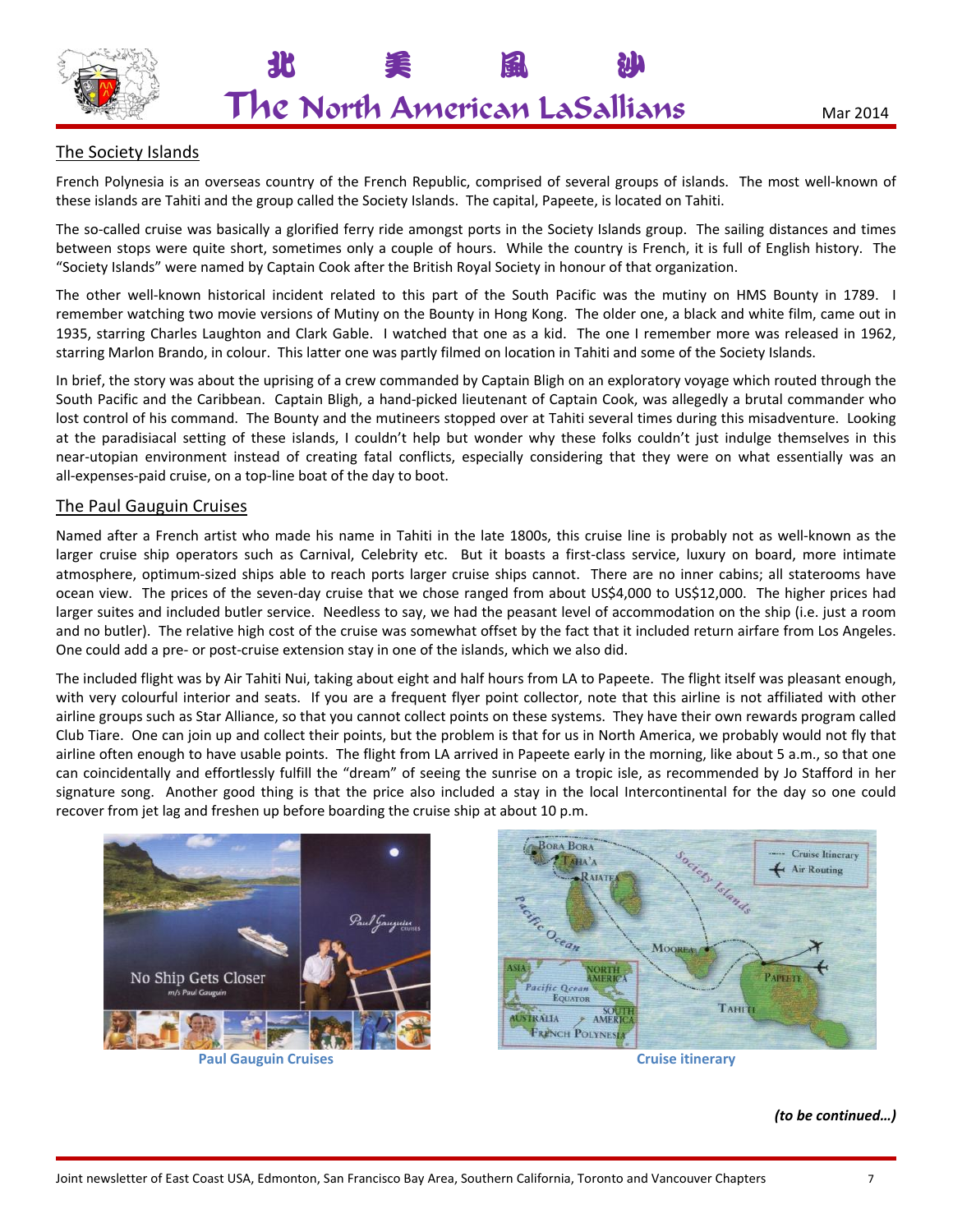

北 美 風 沙

## The Society Islands

French Polynesia is an overseas country of the French Republic, comprised of several groups of islands. The most well‐known of these islands are Tahiti and the group called the Society Islands. The capital, Papeete, is located on Tahiti.

The so-called cruise was basically a glorified ferry ride amongst ports in the Society Islands group. The sailing distances and times between stops were quite short, sometimes only a couple of hours. While the country is French, it is full of English history. The "Society Islands" were named by Captain Cook after the British Royal Society in honour of that organization.

The other well-known historical incident related to this part of the South Pacific was the mutiny on HMS Bounty in 1789. I remember watching two movie versions of Mutiny on the Bounty in Hong Kong. The older one, a black and white film, came out in 1935, starring Charles Laughton and Clark Gable. I watched that one as a kid. The one I remember more was released in 1962, starring Marlon Brando, in colour. This latter one was partly filmed on location in Tahiti and some of the Society Islands.

In brief, the story was about the uprising of a crew commanded by Captain Bligh on an exploratory voyage which routed through the South Pacific and the Caribbean. Captain Bligh, a hand‐picked lieutenant of Captain Cook, was allegedly a brutal commander who lost control of his command. The Bounty and the mutineers stopped over at Tahiti several times during this misadventure. Looking at the paradisiacal setting of these islands, I couldn't help but wonder why these folks couldn't just indulge themselves in this near‐utopian environment instead of creating fatal conflicts, especially considering that they were on what essentially was an all‐expenses‐paid cruise, on a top‐line boat of the day to boot.

### The Paul Gauguin Cruises

Named after a French artist who made his name in Tahiti in the late 1800s, this cruise line is probably not as well‐known as the larger cruise ship operators such as Carnival, Celebrity etc. But it boasts a first-class service, luxury on board, more intimate atmosphere, optimum‐sized ships able to reach ports larger cruise ships cannot. There are no inner cabins; all staterooms have ocean view. The prices of the seven‐day cruise that we chose ranged from about US\$4,000 to US\$12,000. The higher prices had larger suites and included butler service. Needless to say, we had the peasant level of accommodation on the ship (i.e. just a room and no butler). The relative high cost of the cruise was somewhat offset by the fact that it included return airfare from Los Angeles. One could add a pre‐ or post‐cruise extension stay in one of the islands, which we also did.

The included flight was by Air Tahiti Nui, taking about eight and half hours from LA to Papeete. The flight itself was pleasant enough, with very colourful interior and seats. If you are a frequent flyer point collector, note that this airline is not affiliated with other airline groups such as Star Alliance, so that you cannot collect points on these systems. They have their own rewards program called Club Tiare. One can join up and collect their points, but the problem is that for us in North America, we probably would not fly that airline often enough to have usable points. The flight from LA arrived in Papeete early in the morning, like about 5 a.m., so that one can coincidentally and effortlessly fulfill the "dream" of seeing the sunrise on a tropic isle, as recommended by Jo Stafford in her signature song. Another good thing is that the price also included a stay in the local Intercontinental for the day so one could recover from jet lag and freshen up before boarding the cruise ship at about 10 p.m.





#### *(to be continued…)*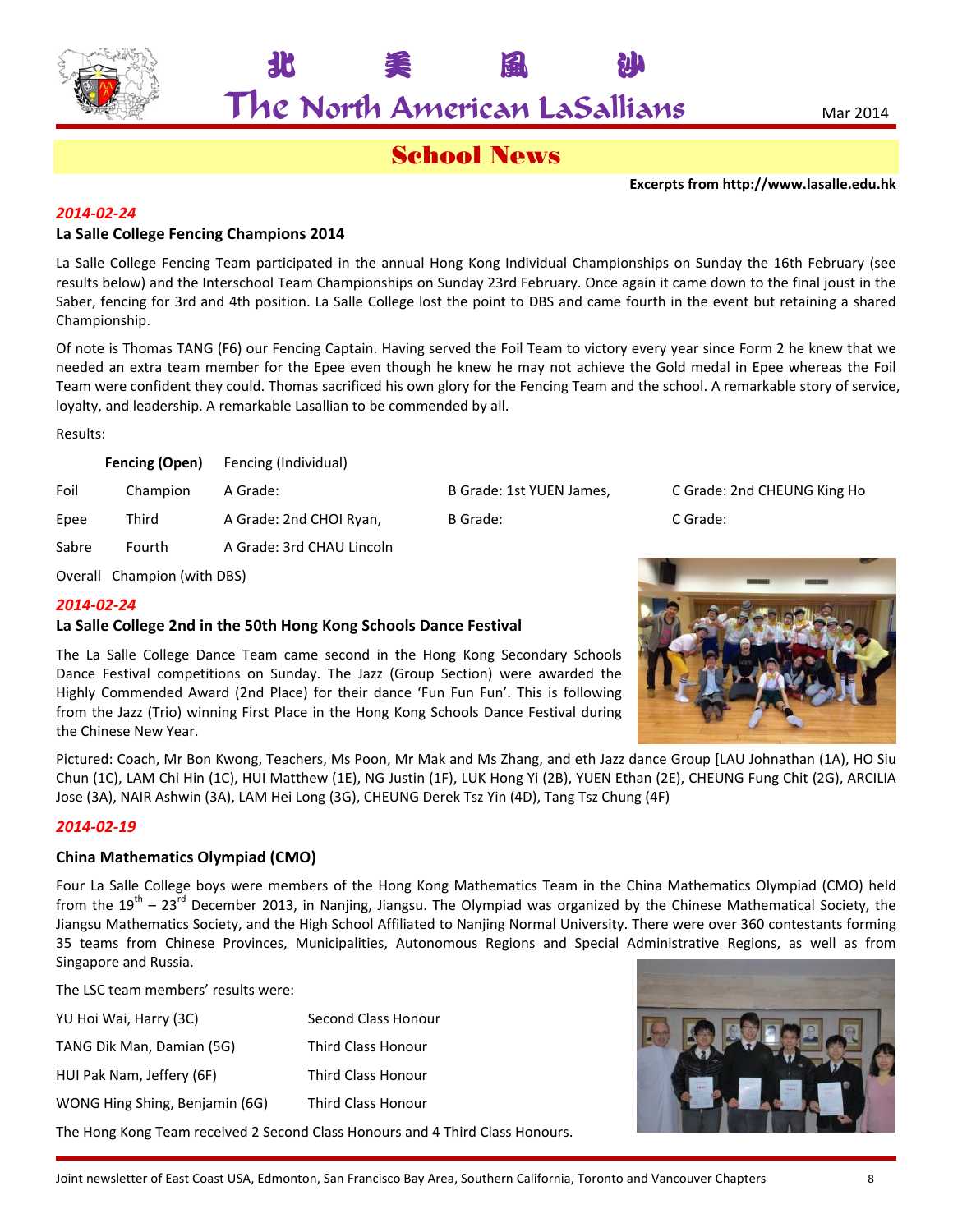

 $\mathsf{The}$  North American LaSallians  $\blacksquare$   $\blacksquare$   $\blacksquare$   $\blacksquare$   $\blacksquare$   $\blacksquare$   $\blacksquare$   $\blacksquare$   $\blacksquare$   $\blacksquare$   $\blacksquare$   $\blacksquare$   $\blacksquare$   $\blacksquare$   $\blacksquare$   $\blacksquare$   $\blacksquare$   $\blacksquare$   $\blacksquare$   $\blacksquare$   $\blacksquare$   $\blacksquare$   $\blacksquare$   $\blacksquare$   $\blacksquare$   $\blacksquare$   $\blacks$ 

北 美 風 沙

## School News

**Excerpts from http://www.lasalle.edu.hk**

### *2014‐02‐24*

### **La Salle College Fencing Champions 2014**

La Salle College Fencing Team participated in the annual Hong Kong Individual Championships on Sunday the 16th February (see results below) and the Interschool Team Championships on Sunday 23rd February. Once again it came down to the final joust in the Saber, fencing for 3rd and 4th position. La Salle College lost the point to DBS and came fourth in the event but retaining a shared Championship.

Of note is Thomas TANG (F6) our Fencing Captain. Having served the Foil Team to victory every year since Form 2 he knew that we needed an extra team member for the Epee even though he knew he may not achieve the Gold medal in Epee whereas the Foil Team were confident they could. Thomas sacrificed his own glory for the Fencing Team and the school. A remarkable story of service, loyalty, and leadership. A remarkable Lasallian to be commended by all.

Results:

|       | Fencing (Open) | Fencing (Individual)      |                          |          |
|-------|----------------|---------------------------|--------------------------|----------|
| Foil  | Champion       | A Grade:                  | B Grade: 1st YUEN James, | C Grade: |
| Epee  | Third          | A Grade: 2nd CHOI Ryan,   | B Grade:                 | C Grade: |
| Sabre | Fourth         | A Grade: 3rd CHAU Lincoln |                          |          |
|       |                |                           |                          |          |

YUEN James, C Grade: 2nd CHEUNG King Ho

Overall Champion (with DBS)

#### *2014‐02‐24*

#### **La Salle College 2nd in the 50th Hong Kong Schools Dance Festival**

The La Salle College Dance Team came second in the Hong Kong Secondary Schools Dance Festival competitions on Sunday. The Jazz (Group Section) were awarded the Highly Commended Award (2nd Place) for their dance 'Fun Fun Fun'. This is following from the Jazz (Trio) winning First Place in the Hong Kong Schools Dance Festival during the Chinese New Year.

Pictured: Coach, Mr Bon Kwong, Teachers, Ms Poon, Mr Mak and Ms Zhang, and eth Jazz dance Group [LAU Johnathan (1A), HO Siu Chun (1C), LAM Chi Hin (1C), HUI Matthew (1E), NG Justin (1F), LUK Hong Yi (2B), YUEN Ethan (2E), CHEUNG Fung Chit (2G), ARCILIA Jose (3A), NAIR Ashwin (3A), LAM Hei Long (3G), CHEUNG Derek Tsz Yin (4D), Tang Tsz Chung (4F)

#### *2014‐02‐19*

#### **China Mathematics Olympiad (CMO)**

Four La Salle College boys were members of the Hong Kong Mathematics Team in the China Mathematics Olympiad (CMO) held from the  $19^{th}$  –  $23^{rd}$  December 2013, in Nanjing, Jiangsu. The Olympiad was organized by the Chinese Mathematical Society, the Jiangsu Mathematics Society, and the High School Affiliated to Nanjing Normal University. There were over 360 contestants forming 35 teams from Chinese Provinces, Municipalities, Autonomous Regions and Special Administrative Regions, as well as from Singapore and Russia.

The LSC team members' results were:

| YU Hoi Wai, Harry (3C)         | Second Class Honour                                                           |
|--------------------------------|-------------------------------------------------------------------------------|
| TANG Dik Man, Damian (5G)      | Third Class Honour                                                            |
| HUI Pak Nam, Jeffery (6F)      | Third Class Honour                                                            |
| WONG Hing Shing, Benjamin (6G) | Third Class Honour                                                            |
|                                | The Hong Kong Team received 2 Second Class Honours and 4 Third Class Honours. |